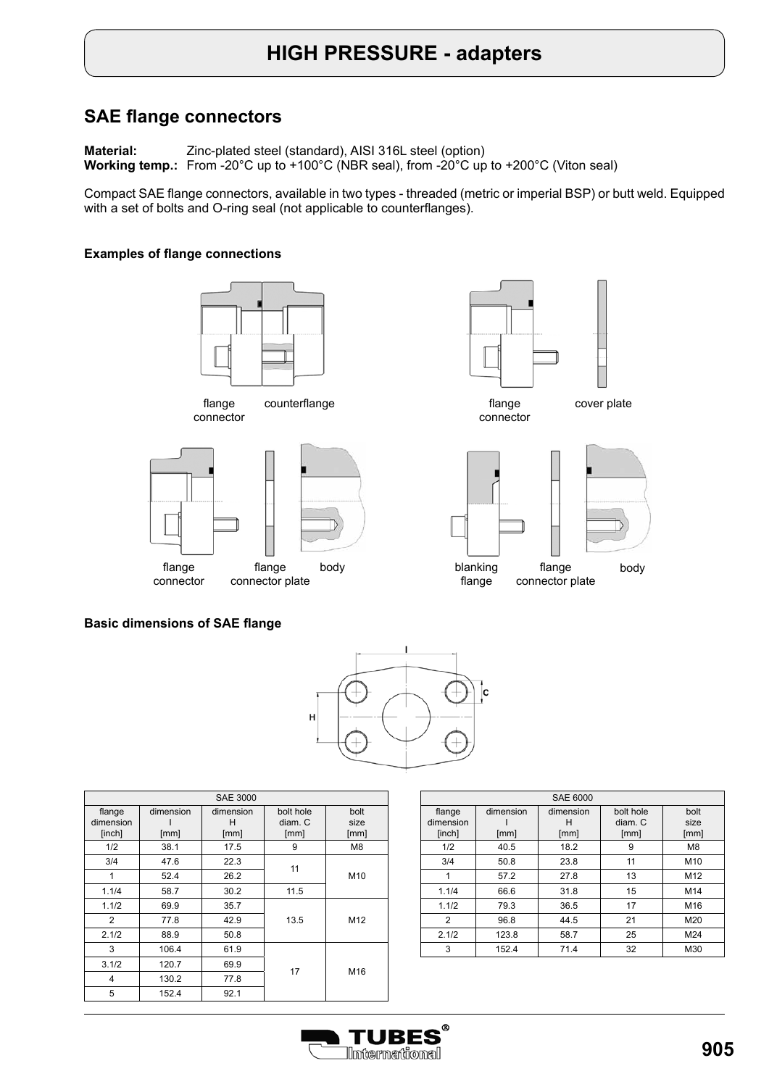# **HIGH PRESSURE - adapters**

### **SAE flange connectors**

**Material: Working temp.:**  From -20°C up to +100°C (NBR seal), from -20°C up to +200°C (Viton seal) Zinc-plated steel (standard), AISI 316L steel (option)

Compact SAE flange connectors, available in two types - threaded (metric or imperial BSP) or butt weld. Equipped with a set of bolts and O-ring seal (not applicable to counterflanges).

#### **Examples of flange connections**



flange connector





connector





#### **Basic dimensions of SAE flange**



| <b>SAE 3000</b>               |                   |                        |                              |                      |  |
|-------------------------------|-------------------|------------------------|------------------------------|----------------------|--|
| flange<br>dimension<br>[inch] | dimension<br>[mm] | dimension<br>н<br>[mm] | bolt hole<br>diam. C<br>[mm] | bolt<br>size<br>[mm] |  |
| 1/2                           | 38.1              | 17.5                   | 9                            | M <sub>8</sub>       |  |
| 3/4                           | 47.6              | 22.3                   | 11                           |                      |  |
| 1                             | 52.4              | 26.2                   |                              | M10                  |  |
| 1.1/4                         | 58.7              | 30.2                   | 11.5                         |                      |  |
| 1.1/2                         | 69.9              | 35.7                   |                              |                      |  |
| 2                             | 77.8              | 42.9                   | 13.5                         | M12                  |  |
| 2.1/2                         | 88.9              | 50.8                   |                              |                      |  |
| 3                             | 106.4             | 61.9                   |                              |                      |  |
| 3.1/2                         | 120.7             | 69.9                   | 17                           | M16                  |  |
| 4                             | 130.2             | 77.8                   |                              |                      |  |
| 5                             | 152.4             | 92.1                   |                              |                      |  |

|           | <b>SAE 6000</b> |           |           |                 |  |  |
|-----------|-----------------|-----------|-----------|-----------------|--|--|
| flange    | dimension       | dimension | bolt hole | bolt            |  |  |
| dimension |                 | н         | diam. C   | size            |  |  |
| [inch]    | [mm]            | [mm]      | [mm]      | [mm]            |  |  |
| 1/2       | 40.5            | 18.2      | 9         | M <sub>8</sub>  |  |  |
| 3/4       | 50.8            | 23.8      | 11        | M <sub>10</sub> |  |  |
| 1         | 57.2            | 27.8      | 13        | M <sub>12</sub> |  |  |
| 1.1/4     | 66.6            | 31.8      | 15        | M14             |  |  |
| 1.1/2     | 79.3            | 36.5      | 17        | M16             |  |  |
| 2         | 96.8            | 44.5      | 21        | M20             |  |  |
| 2.1/2     | 123.8           | 58.7      | 25        | M24             |  |  |
| 3         | 152.4           | 71.4      | 32        | M30             |  |  |

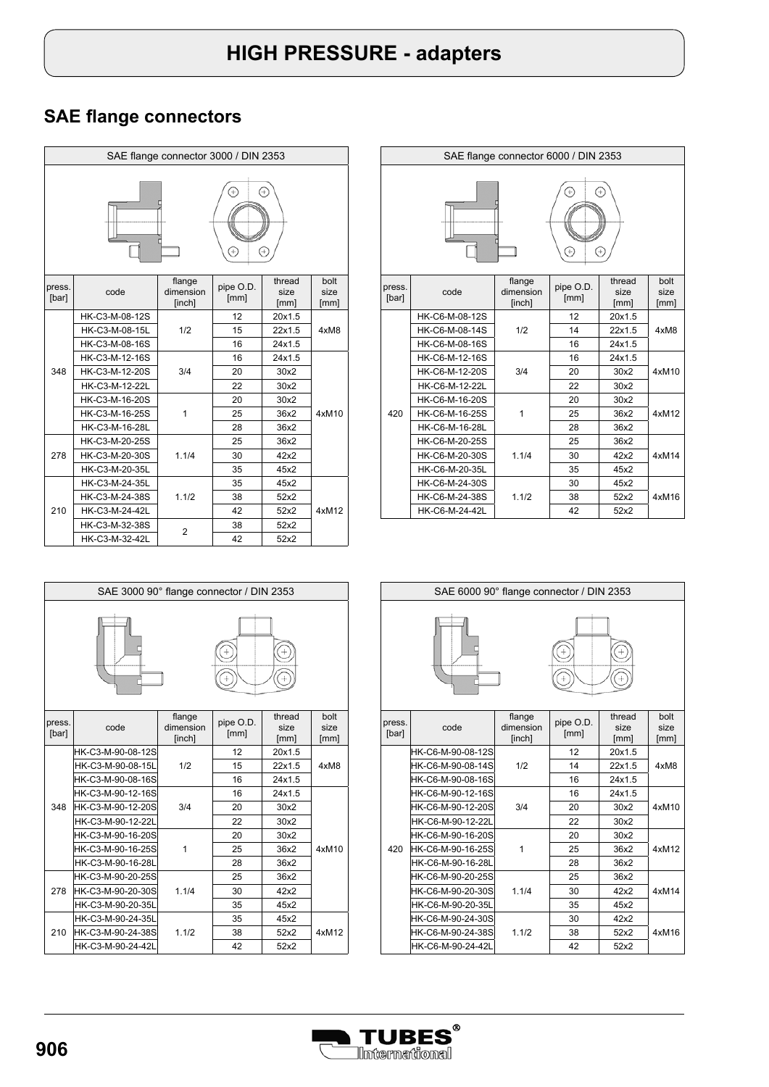| SAE flange connector 3000 / DIN 2353 |                |                               |                   |                        |                      |  |
|--------------------------------------|----------------|-------------------------------|-------------------|------------------------|----------------------|--|
| Ŧ<br>÷<br>$\div$                     |                |                               |                   |                        |                      |  |
| press.<br>[bar]                      | code           | flange<br>dimension<br>[inch] | pipe O.D.<br>[mm] | thread<br>size<br>[mm] | bolt<br>size<br>[mm] |  |
|                                      | HK-C3-M-08-12S |                               | 12                | 20x1.5                 |                      |  |
|                                      | HK-C3-M-08-15L | 1/2                           | 15                | 22x1.5                 | 4xM8                 |  |
|                                      | HK-C3-M-08-16S |                               | 16                | 24x1.5                 |                      |  |
|                                      | HK-C3-M-12-16S |                               | 16                | 24x1.5                 |                      |  |
| 348                                  | HK-C3-M-12-20S | 3/4                           | 20                | 30x2                   |                      |  |
|                                      | HK-C3-M-12-22L |                               | 22                | 30x2                   |                      |  |
|                                      | HK-C3-M-16-20S |                               | 20                | 30x2                   |                      |  |
|                                      | HK-C3-M-16-25S | 1                             | 25                | 36x2                   | 4xM10                |  |
|                                      | HK-C3-M-16-28L |                               | 28                | 36x2                   |                      |  |
|                                      | HK-C3-M-20-25S |                               | 25                | 36x2                   |                      |  |
| 278                                  | HK-C3-M-20-30S | 1.1/4                         | 30                | 42x2                   |                      |  |
|                                      | HK-C3-M-20-35L |                               | 35                | 45x2                   |                      |  |
|                                      | HK-C3-M-24-35L |                               | 35                | 45x2                   |                      |  |
|                                      | HK-C3-M-24-38S | 1.1/2                         | 38                | 52x2                   |                      |  |
| 210                                  | HK-C3-M-24-42L |                               | 42                | 52x2                   | 4xM12                |  |
|                                      | HK-C3-M-32-38S | $\overline{2}$                | 38                | 52x2                   |                      |  |
|                                      | HK-C3-M-32-42L |                               | 42                | 52x2                   |                      |  |



| press.<br>[bar] | code              | flange<br>dimension<br>[inch] | pipe O.D.<br>[mm] | thread<br>size<br>[mm] | bolt<br>size<br>[mm] |
|-----------------|-------------------|-------------------------------|-------------------|------------------------|----------------------|
|                 | HK-C3-M-90-08-12S |                               | 12                | 20x1.5                 |                      |
|                 | HK-C3-M-90-08-15L | 1/2                           | 15                | 22x1.5                 | 4xM8                 |
|                 | HK-C3-M-90-08-16S |                               | 16                | 24x1.5                 |                      |
|                 | HK-C3-M-90-12-16S |                               | 16                | 24x1.5                 |                      |
| 348             | HK-C3-M-90-12-20S | 3/4                           | 20                | 30x2                   |                      |
|                 | HK-C3-M-90-12-22L |                               | 22                | 30x2                   |                      |
|                 | HK-C3-M-90-16-20S |                               | 20                | 30x2                   |                      |
|                 | HK-C3-M-90-16-25S | 1                             | 25                | 36x2                   | 4xM10                |
|                 | HK-C3-M-90-16-28L |                               | 28                | 36x2                   |                      |
|                 | HK-C3-M-90-20-25S |                               | 25                | 36x2                   |                      |
| 278             | HK-C3-M-90-20-30S | 1.1/4                         | 30                | 42x2                   |                      |
|                 | HK-C3-M-90-20-35L |                               | 35                | 45x2                   |                      |
|                 | HK-C3-M-90-24-35L | 1.1/2                         | 35                | 45x2                   |                      |
| 210             | HK-C3-M-90-24-38S |                               | 38                | 52x2                   | 4xM12                |
|                 | HK-C3-M-90-24-42L |                               | 42                | 52x2                   |                      |

| SAE flange connector 6000 / DIN 2353 |                |                               |                   |                        |                      |  |
|--------------------------------------|----------------|-------------------------------|-------------------|------------------------|----------------------|--|
| $\div$<br>÷<br>÷<br>4                |                |                               |                   |                        |                      |  |
| press.<br>[bar]                      | code           | flange<br>dimension<br>[inch] | pipe O.D.<br>[mm] | thread<br>size<br>[mm] | bolt<br>size<br>[mm] |  |
|                                      | HK-C6-M-08-12S |                               | 12                | 20x1.5                 |                      |  |
|                                      | HK-C6-M-08-14S | 1/2                           | 14                | 22x1.5                 | 4xM8                 |  |
|                                      | HK-C6-M-08-16S |                               | 16                | 24x1.5                 |                      |  |
|                                      | HK-C6-M-12-16S |                               | 16                | 24x1.5                 |                      |  |
|                                      | HK-C6-M-12-20S | 3/4                           | 20                | 30x2                   | 4xM10                |  |
|                                      | HK-C6-M-12-22L |                               | 22                | 30x2                   |                      |  |
|                                      | HK-C6-M-16-20S |                               | 20                | 30x2                   |                      |  |
| 420                                  | HK-C6-M-16-25S | 1                             | 25                | 36x2                   | 4xM12                |  |
|                                      | HK-C6-M-16-28L |                               | 28                | 36x2                   |                      |  |
|                                      | HK-C6-M-20-25S |                               | 25                | 36x2                   |                      |  |
|                                      | HK-C6-M-20-30S | 1.1/4                         | 30                | 42x2                   | 4xM14                |  |
|                                      | HK-C6-M-20-35L |                               | 35                | 45x2                   |                      |  |
|                                      | HK-C6-M-24-30S |                               | 30                | 45x2                   |                      |  |
|                                      | HK-C6-M-24-38S | 1.1/2                         | 38                | 52x2                   | 4xM16                |  |
|                                      | HK-C6-M-24-42L |                               | 42                | 52x2                   |                      |  |



| press.<br>[bar] | code              | flange<br>dimension<br>[inch] | pipe O.D.<br>[mm] | thread<br>size<br>[mm] | bolt<br>size<br>[mm] |
|-----------------|-------------------|-------------------------------|-------------------|------------------------|----------------------|
|                 | HK-C6-M-90-08-12S |                               | 12                | 20x1.5                 |                      |
|                 | HK-C6-M-90-08-14S | 1/2                           | 14                | 22x1.5                 | 4xM8                 |
|                 | HK-C6-M-90-08-16S |                               | 16                | 24x1.5                 |                      |
|                 | HK-C6-M-90-12-16S |                               | 16                | 24x1.5                 |                      |
|                 | HK-C6-M-90-12-20S | 3/4                           | 20                | 30x2                   | 4xM10                |
|                 | HK-C6-M-90-12-22L |                               | 22                | 30x2                   |                      |
|                 | HK-C6-M-90-16-20S | 1                             | 20                | 30x2                   | 4xM12                |
| 420             | HK-C6-M-90-16-25S |                               | 25                | 36x2                   |                      |
|                 | HK-C6-M-90-16-28L |                               | 28                | 36x2                   |                      |
|                 | HK-C6-M-90-20-25S |                               | 25                | 36x2                   |                      |
|                 | HK-C6-M-90-20-30S | 1.1/4                         | 30                | 42x2                   | 4xM14                |
|                 | HK-C6-M-90-20-35L |                               | 35                | 45x2                   |                      |
|                 | HK-C6-M-90-24-30S | 1.1/2                         | 30                | 42x2                   |                      |
|                 | HK-C6-M-90-24-38S |                               | 38                | 52x2                   | 4xM16                |
|                 | HK-C6-M-90-24-42L |                               | 42                | 52x2                   |                      |

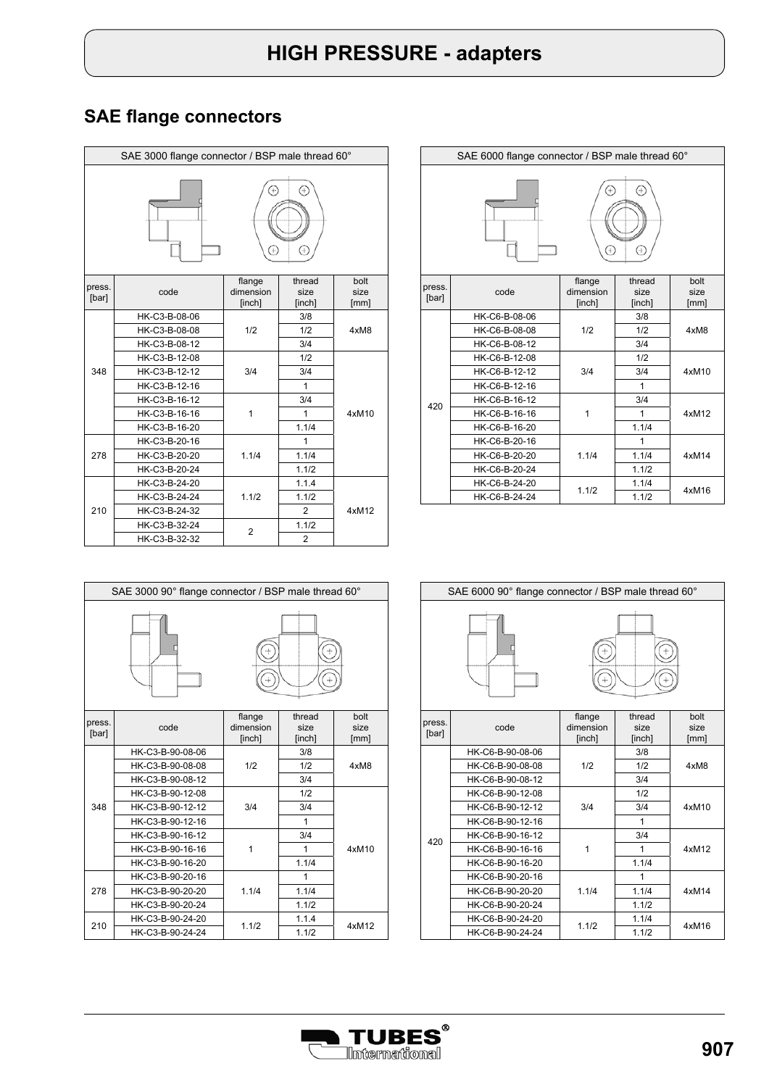|                 | SAE 3000 flange connector / BSP male thread 60° |                               |                                  |                      |  |
|-----------------|-------------------------------------------------|-------------------------------|----------------------------------|----------------------|--|
|                 |                                                 | $\ddot{\mathrm{+}}$           | Ŧ                                |                      |  |
| press.<br>[bar] | code                                            | flange<br>dimension<br>[inch] | thread<br>size<br>[inch]         | bolt<br>size<br>[mm] |  |
|                 | HK-C3-B-08-06<br>HK-C3-B-08-08<br>HK-C3-B-08-12 | 1/2                           | 3/8<br>1/2<br>3/4                | 4xM8                 |  |
| 348             | HK-C3-B-12-08<br>HK-C3-B-12-12<br>HK-C3-B-12-16 | 3/4                           | 1/2<br>3/4<br>1                  |                      |  |
|                 | HK-C3-B-16-12<br>HK-C3-B-16-16<br>HK-C3-B-16-20 | 1                             | 3/4<br>1<br>1.1/4                | 4xM10                |  |
| 278             | HK-C3-B-20-16<br>HK-C3-B-20-20<br>HK-C3-B-20-24 | 1.1/4                         | 1<br>1.1/4<br>1.1/2              |                      |  |
| 210             | HK-C3-B-24-20<br>HK-C3-B-24-24<br>HK-C3-B-24-32 | 1.1/2                         | 1.1.4<br>1.1/2<br>$\overline{2}$ | 4xM12                |  |
|                 | HK-C3-B-32-24<br>HK-C3-B-32-32                  | $\overline{2}$                | 1.1/2<br>$\overline{2}$          |                      |  |

|                                                                                                                                                                                                                                                                                                                                                                                        | SAE 6000 flange connector / BSP male thread 60° |                               |                          |                      |  |  |
|----------------------------------------------------------------------------------------------------------------------------------------------------------------------------------------------------------------------------------------------------------------------------------------------------------------------------------------------------------------------------------------|-------------------------------------------------|-------------------------------|--------------------------|----------------------|--|--|
| Ŧ<br>$\begin{picture}(20,20) \put(0,0){\dashbox{0.5}(20,0){ }} \put(15,0){\dashbox{0.5}(20,0){ }} \put(25,0){\dashbox{0.5}(20,0){ }} \put(25,0){\dashbox{0.5}(20,0){ }} \put(25,0){\dashbox{0.5}(20,0){ }} \put(25,0){\dashbox{0.5}(20,0){ }} \put(25,0){\dashbox{0.5}(20,0){ }} \put(25,0){\dashbox{0.5}(20,0){ }} \put(25,0){\dashbox{0.5}(20,0){ }} \put(25,0){\dashbox{$<br>$^{+}$ |                                                 |                               |                          |                      |  |  |
| press.<br>[bar]                                                                                                                                                                                                                                                                                                                                                                        | code                                            | flange<br>dimension<br>[inch] | thread<br>size<br>[inch] | bolt<br>size<br>[mm] |  |  |
|                                                                                                                                                                                                                                                                                                                                                                                        | HK-C6-B-08-06<br>HK-C6-B-08-08                  | 1/2                           | 3/8<br>1/2               | 4xM8                 |  |  |
|                                                                                                                                                                                                                                                                                                                                                                                        | HK-C6-B-08-12                                   |                               | 3/4                      |                      |  |  |
|                                                                                                                                                                                                                                                                                                                                                                                        | HK-C6-B-12-08                                   |                               | 1/2                      |                      |  |  |
|                                                                                                                                                                                                                                                                                                                                                                                        | HK-C6-B-12-12                                   | 3/4                           | 3/4                      | 4xM10                |  |  |
|                                                                                                                                                                                                                                                                                                                                                                                        | HK-C6-B-12-16<br>HK-C6-B-16-12                  |                               | 1<br>3/4                 |                      |  |  |
| 420                                                                                                                                                                                                                                                                                                                                                                                    | HK-C6-B-16-16                                   | 1                             | 1                        | 4xM12                |  |  |
|                                                                                                                                                                                                                                                                                                                                                                                        | HK-C6-B-16-20                                   |                               | 1.1/4                    |                      |  |  |
|                                                                                                                                                                                                                                                                                                                                                                                        | HK-C6-B-20-16                                   |                               | 1                        |                      |  |  |
|                                                                                                                                                                                                                                                                                                                                                                                        | HK-C6-B-20-20                                   | 1.1/4                         | 1.1/4                    | 4xM14                |  |  |
|                                                                                                                                                                                                                                                                                                                                                                                        | HK-C6-B-20-24                                   |                               | 1.1/2                    |                      |  |  |
|                                                                                                                                                                                                                                                                                                                                                                                        | HK-C6-B-24-20                                   | 1.1/2                         | 1.1/4                    | 4xM16                |  |  |
|                                                                                                                                                                                                                                                                                                                                                                                        | HK-C6-B-24-24                                   |                               | 1.1/2                    |                      |  |  |



| press.<br>[bar] | code             | flange<br>dimension<br>[inch] | thread<br>size<br>[inch] | bolt<br>size<br>[mm] |
|-----------------|------------------|-------------------------------|--------------------------|----------------------|
|                 | HK-C3-B-90-08-06 |                               | 3/8                      |                      |
|                 | HK-C3-B-90-08-08 | 1/2                           | 1/2                      | 4xM8                 |
|                 | HK-C3-B-90-08-12 |                               | 3/4                      |                      |
|                 | HK-C3-B-90-12-08 |                               | 1/2                      |                      |
| 348             | HK-C3-B-90-12-12 | 3/4                           | 3/4                      | 4xM10                |
|                 | HK-C3-B-90-12-16 |                               | 1                        |                      |
|                 | HK-C3-B-90-16-12 |                               | 3/4                      |                      |
|                 | HK-C3-B-90-16-16 | 1                             | 1                        |                      |
|                 | HK-C3-B-90-16-20 |                               | 1.1/4                    |                      |
|                 | HK-C3-B-90-20-16 |                               | 1                        |                      |
| 278             | HK-C3-B-90-20-20 | 1.1/4                         | 1.1/4                    |                      |
|                 | HK-C3-B-90-20-24 |                               | 1.1/2                    |                      |
| 210             | HK-C3-B-90-24-20 | 1.1/2                         | 1.1.4                    | 4xM12                |
|                 | HK-C3-B-90-24-24 |                               | 1.1/2                    |                      |



1.1/4

1.1/2

HK-C6-B-90-20-24 1.1/2

HK-C6-B-90-24-24 1.1/2 1.1/2

HK-C6-B-90-20-20 1.1/4 1.1/4 4xM14

1

1.1/4

HK-C6-B-90-20-16

HK-C6-B-90-24-20



4xM16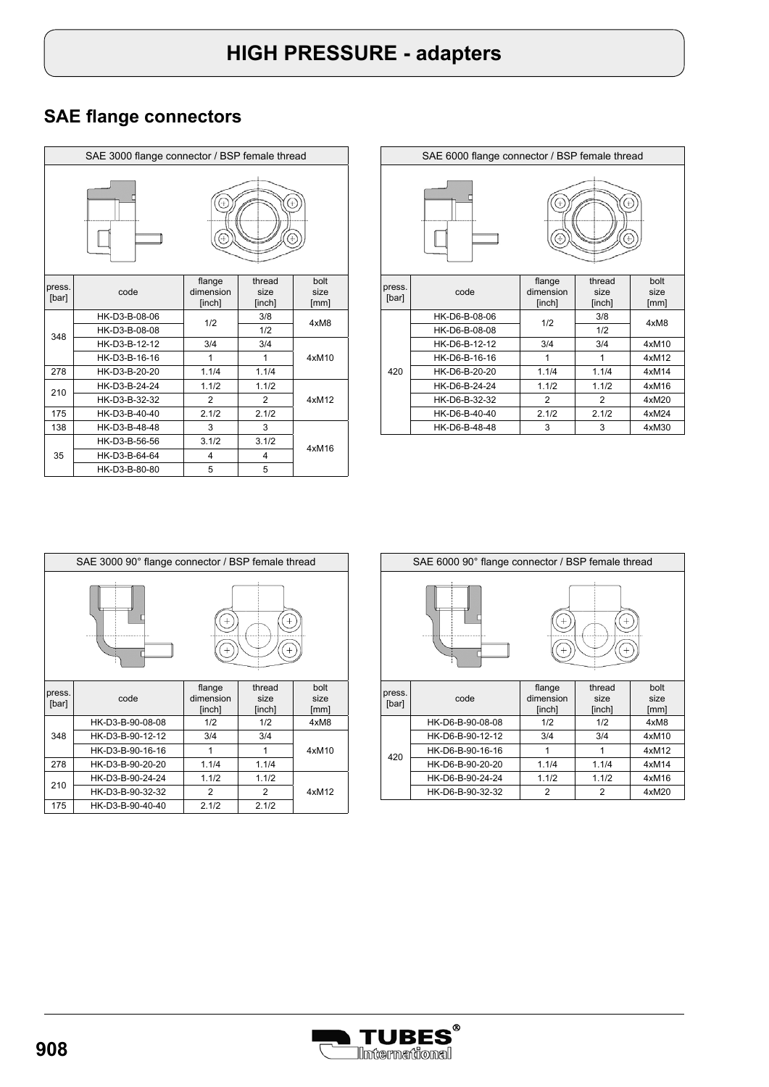|                 | SAE 3000 flange connector / BSP female thread |                               |                          |                      |  |  |
|-----------------|-----------------------------------------------|-------------------------------|--------------------------|----------------------|--|--|
|                 |                                               |                               |                          |                      |  |  |
| press.<br>[bar] | code                                          | flange<br>dimension<br>[inch] | thread<br>size<br>[inch] | bolt<br>size<br>[mm] |  |  |
|                 | HK-D3-B-08-06                                 | 1/2                           | 3/8                      | 4xM8                 |  |  |
| 348             | HK-D3-B-08-08                                 |                               | 1/2                      |                      |  |  |
|                 | HK-D3-B-12-12                                 | 3/4                           | 3/4                      |                      |  |  |
|                 | HK-D3-B-16-16                                 | 1                             | 1                        | 4xM10                |  |  |
| 278             | HK-D3-B-20-20                                 | 1.1/4                         | 1.1/4                    |                      |  |  |
| 210             | HK-D3-B-24-24                                 | 1.1/2                         | 1.1/2                    |                      |  |  |
|                 | HK-D3-B-32-32                                 | 2                             | $\overline{2}$           | 4xM12                |  |  |
| 175             | HK-D3-B-40-40                                 | 2.1/2                         | 2.1/2                    |                      |  |  |
| 138             | HK-D3-B-48-48                                 | 3                             | 3                        |                      |  |  |
|                 | HK-D3-B-56-56                                 | 3.1/2                         | 3.1/2                    |                      |  |  |
| 35              | HK-D3-B-64-64                                 | $\overline{4}$                | 4                        | 4xM16                |  |  |
|                 | HK-D3-B-80-80                                 | 5                             | 5                        |                      |  |  |

|                 | SAE 6000 flange connector / BSP female thread |                               |                          |                      |  |
|-----------------|-----------------------------------------------|-------------------------------|--------------------------|----------------------|--|
|                 |                                               |                               |                          |                      |  |
| press.<br>[bar] | code                                          | flange<br>dimension<br>[inch] | thread<br>size<br>[inch] | bolt<br>size<br>[mm] |  |
|                 | HK-D6-B-08-06<br>HK-D6-B-08-08                | 1/2                           | 3/8<br>1/2               | 4xM8                 |  |
|                 | HK-D6-B-12-12                                 | 3/4                           | 3/4                      | 4xM10                |  |
|                 | HK-D6-B-16-16                                 | 1                             | 1                        | 4xM12                |  |
| 420             | HK-D6-B-20-20                                 | 1.1/4                         | 1.1/4                    | 4xM14                |  |
|                 | HK-D6-B-24-24                                 | 1.1/2                         | 1.1/2                    | 4xM16                |  |
|                 | HK-D6-B-32-32                                 | $\overline{2}$                | $\overline{2}$           | 4xM20                |  |
|                 | HK-D6-B-40-40                                 | 2.1/2                         | 2.1/2                    | 4xM24                |  |
|                 | HK-D6-B-48-48                                 | 3                             | 3                        | 4xM30                |  |

|                 | SAE 3000 90° flange connector / BSP female thread |                               |                          |                      |  |  |
|-----------------|---------------------------------------------------|-------------------------------|--------------------------|----------------------|--|--|
|                 |                                                   |                               |                          |                      |  |  |
| press.<br>[bar] | code                                              | flange<br>dimension<br>[inch] | thread<br>size<br>[inch] | bolt<br>size<br>[mm] |  |  |
|                 | HK-D3-B-90-08-08                                  | 1/2                           | 1/2                      | 4xM8                 |  |  |
| 348             | HK-D3-B-90-12-12                                  | 3/4                           | 3/4                      |                      |  |  |
|                 | HK-D3-B-90-16-16                                  | 1                             | 1                        | 4xM10                |  |  |
| 278             | HK-D3-B-90-20-20                                  | 1.1/4                         | 1.1/4                    |                      |  |  |
|                 | HK-D3-B-90-24-24                                  | 1.1/2                         | 1.1/2                    |                      |  |  |
| 210             | HK-D3-B-90-32-32                                  | 2                             | 2                        | 4xM12                |  |  |
| 175             | HK-D3-B-90-40-40                                  | 2.1/2                         | 2.1/2                    |                      |  |  |

| SAE 6000 90° flange connector / BSP female thread |                  |                               |                          |                      |  |  |
|---------------------------------------------------|------------------|-------------------------------|--------------------------|----------------------|--|--|
|                                                   |                  |                               |                          |                      |  |  |
| press.<br>[bar]                                   | code             | flange<br>dimension<br>[inch] | thread<br>size<br>[inch] | bolt<br>size<br>[mm] |  |  |
|                                                   | HK-D6-B-90-08-08 | 1/2                           | 1/2                      | 4xM8                 |  |  |
|                                                   | HK-D6-B-90-12-12 | 3/4                           | 3/4                      | 4xM10                |  |  |
| 420                                               | HK-D6-B-90-16-16 | 1                             | 1                        | 4xM12                |  |  |
|                                                   | HK-D6-B-90-20-20 | 1.1/4                         | 1.1/4                    | 4xM14                |  |  |
|                                                   | HK-D6-B-90-24-24 | 1.1/2                         | 1.1/2                    | 4xM16                |  |  |
|                                                   | HK-D6-B-90-32-32 | $\overline{2}$                | $\overline{2}$           | 4xM20                |  |  |
|                                                   |                  |                               |                          |                      |  |  |

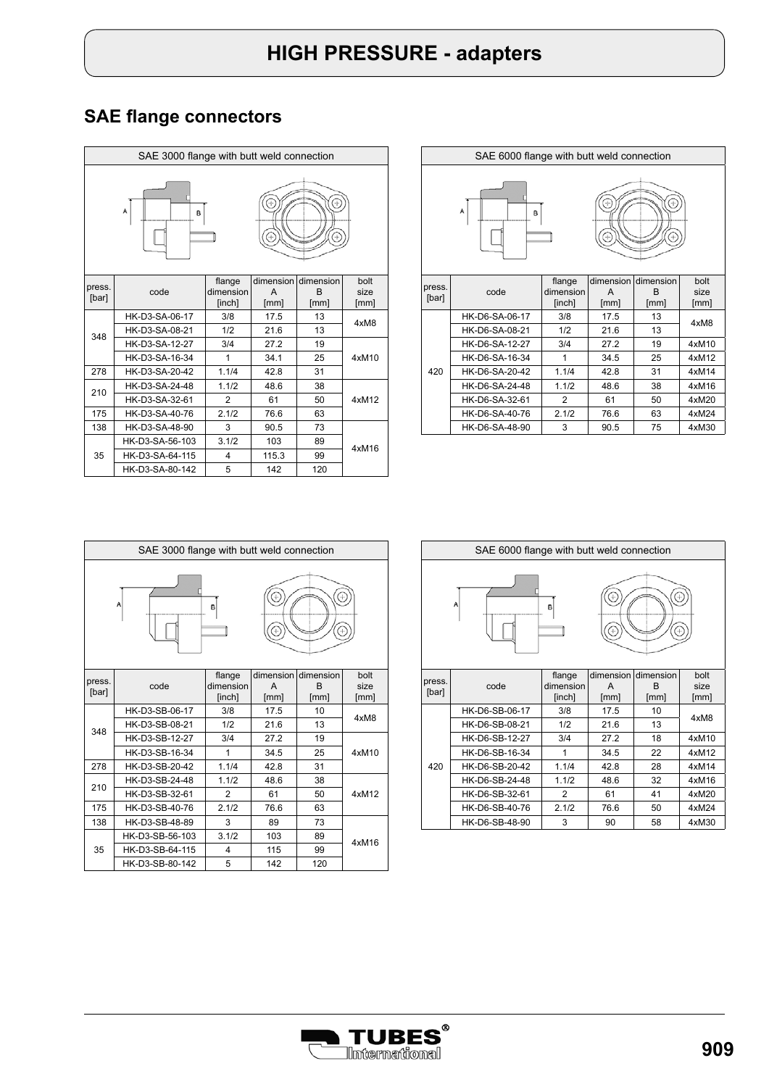| SAE 3000 flange with butt weld connection |                 |                               |                        |                                   |                      |  |  |
|-------------------------------------------|-----------------|-------------------------------|------------------------|-----------------------------------|----------------------|--|--|
| Α<br>в                                    |                 |                               |                        |                                   |                      |  |  |
| press.<br>[bar]                           | code            | flange<br>dimension<br>[inch] | dimension<br>A<br>[mm] | dimension<br><sub>R</sub><br>[mm] | bolt<br>size<br>[mm] |  |  |
|                                           | HK-D3-SA-06-17  | 3/8                           | 17.5                   | 13                                | 4xM8                 |  |  |
| 348                                       | HK-D3-SA-08-21  | 1/2                           | 21.6                   | 13                                |                      |  |  |
|                                           | HK-D3-SA-12-27  | 3/4                           | 27.2                   | 19                                |                      |  |  |
|                                           | HK-D3-SA-16-34  | 1                             | 34.1                   | 25                                | 4xM10                |  |  |
| 278                                       | HK-D3-SA-20-42  | 1.1/4                         | 42.8                   | 31                                |                      |  |  |
| 210                                       | HK-D3-SA-24-48  | 1.1/2                         | 48.6                   | 38                                |                      |  |  |
|                                           | HK-D3-SA-32-61  | $\overline{2}$                | 61                     | 50                                | 4xM12                |  |  |
| 175                                       | HK-D3-SA-40-76  | 2.1/2                         | 76.6                   | 63                                |                      |  |  |
| 138                                       | HK-D3-SA-48-90  | 3                             | 90.5                   | 73                                |                      |  |  |
|                                           | HK-D3-SA-56-103 | 3.1/2                         | 103                    | 89                                |                      |  |  |
| 35                                        | HK-D3-SA-64-115 | 4                             | 115.3                  | 99                                | 4xM16                |  |  |
|                                           | HK-D3-SA-80-142 | 5                             | 142                    | 120                               |                      |  |  |

| SAE 6000 flange with butt weld connection |                |                     |           |           |              |  |  |  |
|-------------------------------------------|----------------|---------------------|-----------|-----------|--------------|--|--|--|
| A<br>B                                    |                |                     |           |           |              |  |  |  |
| press.                                    |                | flange              | dimension | dimension | bolt         |  |  |  |
| [bar]                                     | code           | dimension<br>[inch] | A<br>[mm] | B<br>[mm] | size<br>[mm] |  |  |  |
|                                           | HK-D6-SA-06-17 | 3/8                 | 17.5      | 13        |              |  |  |  |
|                                           | HK-D6-SA-08-21 | 1/2                 | 21.6      | 13        | 4xM8         |  |  |  |
|                                           | HK-D6-SA-12-27 | 3/4                 | 27.2      | 19        | 4xM10        |  |  |  |
|                                           | HK-D6-SA-16-34 | 1                   | 34.5      | 25        | 4xM12        |  |  |  |
| 420                                       | HK-D6-SA-20-42 | 1.1/4               | 42.8      | 31        | 4xM14        |  |  |  |
|                                           | HK-D6-SA-24-48 | 1.1/2               | 48.6      | 38        | 4xM16        |  |  |  |
|                                           | HK-D6-SA-32-61 | 2                   | 61        | 50        | 4xM20        |  |  |  |
|                                           | HK-D6-SA-40-76 | 2.1/2               | 76.6      | 63        | 4xM24        |  |  |  |
|                                           | HK-D6-SA-48-90 | 3                   | 90.5      | 75        | 4xM30        |  |  |  |

| SAE 3000 flange with butt weld connection |                 |                               |                        |                                   |                      |  |
|-------------------------------------------|-----------------|-------------------------------|------------------------|-----------------------------------|----------------------|--|
| ÷<br>A<br>в                               |                 |                               |                        |                                   |                      |  |
| press.<br>[bar]                           | code            | flange<br>dimension<br>[inch] | dimension<br>A<br>[mm] | dimension<br><sub>R</sub><br>[mm] | bolt<br>size<br>[mm] |  |
|                                           | HK-D3-SB-06-17  | 3/8                           | 17.5                   | 10                                | 4xM8                 |  |
| 348                                       | HK-D3-SB-08-21  | 1/2                           | 21.6                   | 13                                |                      |  |
|                                           | HK-D3-SB-12-27  | 3/4                           | 27.2                   | 19                                |                      |  |
|                                           | HK-D3-SB-16-34  | 1                             | 34.5                   | 25                                | 4xM10                |  |
| 278                                       | HK-D3-SB-20-42  | 1.1/4                         | 42.8                   | 31                                |                      |  |
| 210                                       | HK-D3-SB-24-48  | 1.1/2                         | 48.6                   | 38                                |                      |  |
|                                           | HK-D3-SB-32-61  | 2                             | 61                     | 50                                | 4xM12                |  |
| 175                                       | HK-D3-SB-40-76  | 2.1/2                         | 76.6                   | 63                                |                      |  |
| 138                                       | HK-D3-SB-48-89  | 3                             | 89                     | 73                                |                      |  |
|                                           | HK-D3-SB-56-103 | 3.1/2                         | 103                    | 89                                | 4xM16                |  |
| 35                                        | HK-D3-SB-64-115 | 4                             | 115                    | 99                                |                      |  |
|                                           | HK-D3-SB-80-142 | 5                             | 142                    | 120                               |                      |  |



| press. |                | 11a119c   | ullie laiuli ullielaiul |      | ww    |
|--------|----------------|-----------|-------------------------|------|-------|
|        | code           | dimension | A                       | в    | size  |
| [bar]  |                | [inch]    | [mm]                    | [mm] | [mm]  |
|        | HK-D6-SB-06-17 | 3/8       | 17.5                    | 10   | 4xM8  |
|        | HK-D6-SB-08-21 | 1/2       | 21.6                    | 13   |       |
|        | HK-D6-SB-12-27 | 3/4       | 27.2                    | 18   | 4xM10 |
|        | HK-D6-SB-16-34 |           | 34.5                    | 22   | 4xM12 |
| 420    | HK-D6-SB-20-42 | 1.1/4     | 42.8                    | 28   | 4xM14 |
|        | HK-D6-SB-24-48 | 1.1/2     | 48.6                    | 32   | 4xM16 |
|        | HK-D6-SB-32-61 | 2         | 61                      | 41   | 4xM20 |
|        | HK-D6-SB-40-76 | 2.1/2     | 76.6                    | 50   | 4xM24 |
|        | HK-D6-SB-48-90 | 3         | 90                      | 58   | 4xM30 |

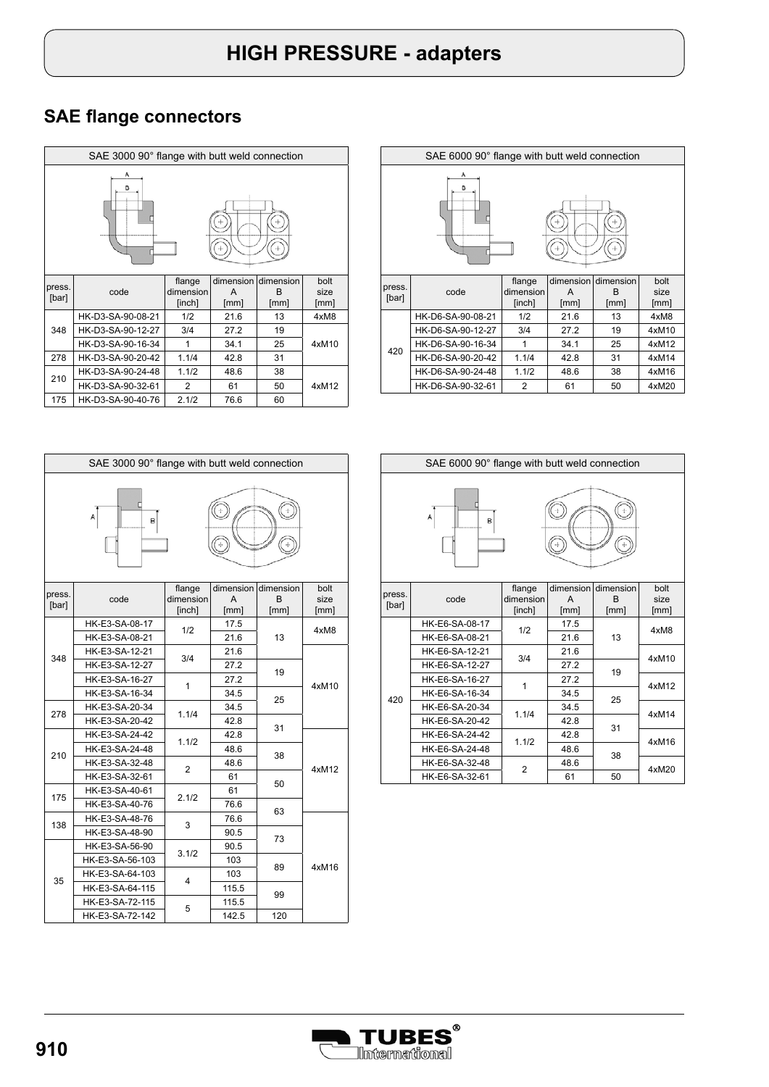|                 | SAE 3000 90° flange with butt weld connection |                               |                        |                        |                      |  |  |
|-----------------|-----------------------------------------------|-------------------------------|------------------------|------------------------|----------------------|--|--|
| А<br>B          |                                               |                               |                        |                        |                      |  |  |
| press.<br>[bar] | code                                          | flange<br>dimension<br>[inch] | dimension<br>A<br>[mm] | dimension<br>R<br>[mm] | bolt<br>size<br>[mm] |  |  |
|                 | HK-D3-SA-90-08-21                             | 1/2                           | 21.6                   | 13                     | 4xM8                 |  |  |
| 348             | HK-D3-SA-90-12-27                             | 3/4                           | 27.2                   | 19                     |                      |  |  |
|                 | HK-D3-SA-90-16-34                             | 1                             | 34.1                   | 25                     | 4xM10                |  |  |
| 278             | HK-D3-SA-90-20-42                             | 1.1/4                         | 42.8                   | 31                     |                      |  |  |
| 210             | HK-D3-SA-90-24-48                             | 1.1/2                         | 48.6                   | 38                     |                      |  |  |
|                 | HK-D3-SA-90-32-61                             | 2                             | 61                     | 50                     | 4xM12                |  |  |
| 175             | HK-D3-SA-90-40-76                             | 2.1/2                         | 76.6                   | 60                     |                      |  |  |

|                 | SAE 6000 90° flange with butt weld connection |                               |                        |                        |                      |  |  |
|-----------------|-----------------------------------------------|-------------------------------|------------------------|------------------------|----------------------|--|--|
| А<br>в          |                                               |                               |                        |                        |                      |  |  |
| press.<br>[bar] | code                                          | flange<br>dimension<br>[inch] | dimension<br>A<br>[mm] | dimension<br>R<br>[mm] | bolt<br>size<br>[mm] |  |  |
|                 | HK-D6-SA-90-08-21                             | 1/2                           | 21.6                   | 13                     | 4xM8                 |  |  |
|                 | HK-D6-SA-90-12-27                             | 3/4                           | 27.2                   | 19                     | 4xM10                |  |  |
| 420             | HK-D6-SA-90-16-34                             | 1                             | 34.1                   | 25                     | 4xM12                |  |  |
|                 | HK-D6-SA-90-20-42                             | 1.1/4                         | 42.8                   | 31                     | 4xM14                |  |  |
|                 | HK-D6-SA-90-24-48                             | 1.1/2                         | 48.6                   | 38                     | 4xM16                |  |  |
|                 |                                               |                               |                        |                        |                      |  |  |

| SAE 3000 90° flange with butt weld connection |                 |                     |                |                |              |  |
|-----------------------------------------------|-----------------|---------------------|----------------|----------------|--------------|--|
|                                               | A<br>B          |                     |                |                |              |  |
| press.<br>[bar]                               | code            | flange<br>dimension | dimension<br>A | dimension<br>R | bolt<br>size |  |
|                                               |                 | [inch]              | [mm]           | [mm]           | [mm]         |  |
|                                               | HK-E3-SA-08-17  | 1/2                 | 17.5           |                | 4xM8         |  |
|                                               | HK-E3-SA-08-21  |                     | 21.6           | 13             |              |  |
| 348                                           | HK-E3-SA-12-21  | 3/4                 | 21.6           |                | 4xM10        |  |
|                                               | HK-E3-SA-12-27  |                     | 27.2           | 19             |              |  |
|                                               | HK-E3-SA-16-27  | 1                   | 27.2           |                |              |  |
|                                               | HK-E3-SA-16-34  |                     | 34.5           | 25             |              |  |
| 278                                           | HK-E3-SA-20-34  | 1.1/4               | 34.5           |                |              |  |
|                                               | HK-E3-SA-20-42  |                     | 42.8           | 31             |              |  |
|                                               | HK-E3-SA-24-42  | 1.1/2               | 42.8           |                |              |  |
| 210                                           | HK-E3-SA-24-48  |                     | 48.6           | 38             |              |  |
|                                               | HK-E3-SA-32-48  | $\overline{2}$      | 48.6           |                | 4xM12        |  |
|                                               | HK-E3-SA-32-61  |                     | 61             | 50             |              |  |
| 175                                           | HK-E3-SA-40-61  | 2.1/2               | 61             |                |              |  |
|                                               | HK-E3-SA-40-76  |                     | 76.6           | 63             |              |  |
| 138                                           | HK-E3-SA-48-76  | 3                   | 76.6           |                |              |  |
|                                               | HK-E3-SA-48-90  |                     | 90.5           | 73             |              |  |
|                                               | HK-E3-SA-56-90  | 3.1/2               | 90.5           |                |              |  |
|                                               | HK-E3-SA-56-103 |                     | 103            |                | 4xM16        |  |
| 35                                            | HK-E3-SA-64-103 | 4                   | 103            | 89             |              |  |
|                                               | HK-E3-SA-64-115 |                     | 115.5          | 99             |              |  |
|                                               | HK-E3-SA-72-115 | 5                   | 115.5          |                |              |  |
|                                               | HK-E3-SA-72-142 |                     | 142.5          | 120            |              |  |



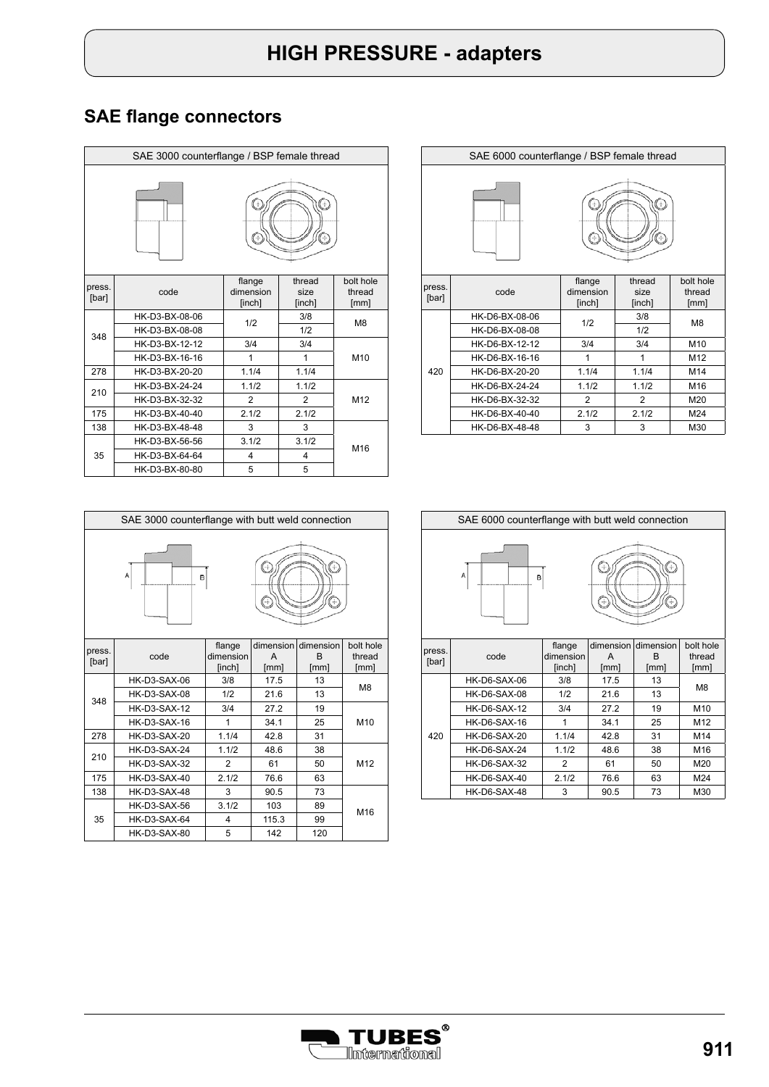| SAE 3000 counterflange / BSP female thread |                |                               |                          |                             |  |  |
|--------------------------------------------|----------------|-------------------------------|--------------------------|-----------------------------|--|--|
|                                            |                |                               |                          |                             |  |  |
| press.<br>[bar]                            | code           | flange<br>dimension<br>[inch] | thread<br>size<br>[inch] | bolt hole<br>thread<br>[mm] |  |  |
|                                            | HK-D3-BX-08-06 | 1/2                           | 3/8                      | M <sub>8</sub>              |  |  |
| 348                                        | HK-D3-BX-08-08 |                               | 1/2                      |                             |  |  |
|                                            | HK-D3-BX-12-12 | 3/4                           | 3/4                      |                             |  |  |
|                                            | HK-D3-BX-16-16 | 1                             | 1                        | M10                         |  |  |
| 278                                        | HK-D3-BX-20-20 | 1.1/4                         | 1.1/4                    |                             |  |  |
| 210                                        | HK-D3-BX-24-24 | 1.1/2                         | 1.1/2                    |                             |  |  |
|                                            | HK-D3-BX-32-32 | $\mathfrak{p}$                | $\mathfrak{p}$           | M12                         |  |  |
| 175                                        | HK-D3-BX-40-40 | 2.1/2                         | 2.1/2                    |                             |  |  |
| 138                                        | HK-D3-BX-48-48 | 3                             | 3                        |                             |  |  |
|                                            | HK-D3-BX-56-56 | 3.1/2                         | 3.1/2                    | M16                         |  |  |
| 35                                         | HK-D3-BX-64-64 | 4                             | 4                        |                             |  |  |
|                                            | HK-D3-BX-80-80 | 5                             | 5                        |                             |  |  |





| press. |                     | flange    |       | dimension dimension | bolt hole       |
|--------|---------------------|-----------|-------|---------------------|-----------------|
| [bar]  | code                | dimension | A     | B                   | thread          |
|        |                     | [inch]    | [mm]  | [mm]                | [mm]            |
|        | HK-D3-SAX-06        | 3/8       | 17.5  | 13                  | M <sub>8</sub>  |
| 348    | HK-D3-SAX-08        | 1/2       | 21.6  | 13                  |                 |
|        | <b>HK-D3-SAX-12</b> | 3/4       | 27.2  | 19                  |                 |
|        | HK-D3-SAX-16        | 1         | 34.1  | 25                  | M <sub>10</sub> |
| 278    | HK-D3-SAX-20        | 1.1/4     | 42.8  | 31                  |                 |
| 210    | <b>HK-D3-SAX-24</b> | 1.1/2     | 48.6  | 38                  |                 |
|        | HK-D3-SAX-32        | 2         | 61    | 50                  | M <sub>12</sub> |
| 175    | HK-D3-SAX-40        | 2.1/2     | 76.6  | 63                  |                 |
| 138    | HK-D3-SAX-48        | 3         | 90.5  | 73                  |                 |
|        | HK-D3-SAX-56        | 3.1/2     | 103   | 89                  | M16             |
| 35     | HK-D3-SAX-64        | 4         | 115.3 | 99                  |                 |
|        | HK-D3-SAX-80        | 5         | 142   | 120                 |                 |



| press. |                     | <b>Tiange</b> | dimension i | dimension | polt noie      |
|--------|---------------------|---------------|-------------|-----------|----------------|
|        | code                | dimension     | A           | В         | thread         |
| [bar]  |                     | [inch]        | [mm]        | [mm]      | [mm]           |
|        | HK-D6-SAX-06        | 3/8           | 17.5        | 13        | M <sub>8</sub> |
|        | HK-D6-SAX-08        | 1/2           | 21.6        | 13        |                |
|        | <b>HK-D6-SAX-12</b> | 3/4           | 27.2        | 19        | M10            |
|        | HK-D6-SAX-16        |               | 34.1        | 25        | M12            |
| 420    | <b>HK-D6-SAX-20</b> | 1.1/4         | 42.8        | 31        | M14            |
|        | <b>HK-D6-SAX-24</b> | 1.1/2         | 48.6        | 38        | M16            |
|        | <b>HK-D6-SAX-32</b> | 2             | 61          | 50        | M20            |
|        | <b>HK-D6-SAX-40</b> | 2.1/2         | 76.6        | 63        | M24            |
|        | HK-D6-SAX-48        | 3             | 90.5        | 73        | M30            |

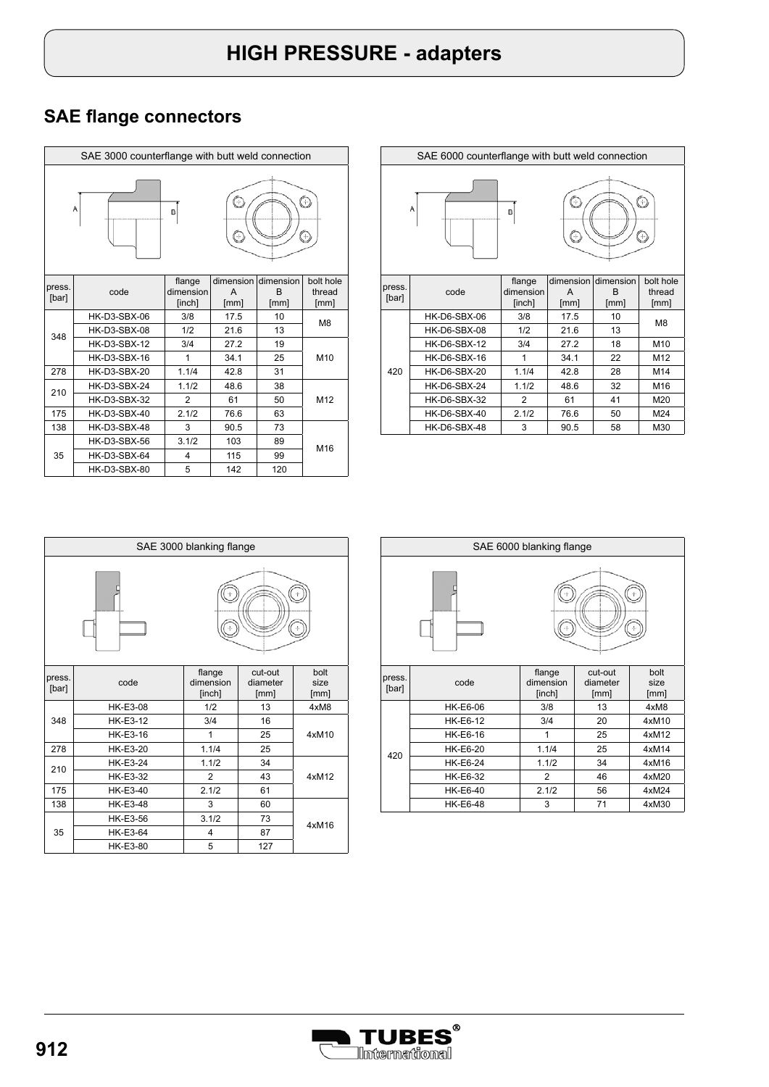| SAE 3000 counterflange with butt weld connection |                     |                               |                        |                                   |                             |  |
|--------------------------------------------------|---------------------|-------------------------------|------------------------|-----------------------------------|-----------------------------|--|
| Ó<br>0<br>A<br>B<br>C<br>9                       |                     |                               |                        |                                   |                             |  |
| press.<br>[bar]                                  | code                | flange<br>dimension<br>[inch] | dimension<br>A<br>[mm] | dimension<br><sub>R</sub><br>[mm] | bolt hole<br>thread<br>[mm] |  |
|                                                  | HK-D3-SBX-06        | 3/8                           | 17.5                   | 10                                | M <sub>8</sub>              |  |
| 348                                              | HK-D3-SBX-08        | 1/2                           | 21.6                   | 13                                |                             |  |
|                                                  | <b>HK-D3-SBX-12</b> | 3/4                           | 27.2                   | 19                                |                             |  |
|                                                  | <b>HK-D3-SBX-16</b> | 1                             | 34.1                   | 25                                | M10                         |  |
| 278                                              | <b>HK-D3-SBX-20</b> | 1.1/4                         | 42.8                   | 31                                |                             |  |
| 210                                              | <b>HK-D3-SBX-24</b> | 1.1/2                         | 48.6                   | 38                                |                             |  |
|                                                  | <b>HK-D3-SBX-32</b> | $\overline{2}$                | 61                     | 50                                | M12                         |  |
| 175                                              | HK-D3-SBX-40        | 2.1/2                         | 76.6                   | 63                                |                             |  |
| 138                                              | <b>HK-D3-SBX-48</b> | 3                             | 90.5                   | 73                                |                             |  |
|                                                  | HK-D3-SBX-56        | 3.1/2                         | 103                    | 89                                | M16                         |  |
| 35                                               | HK-D3-SBX-64        | $\overline{4}$                | 115                    | 99                                |                             |  |
|                                                  | HK-D3-SBX-80        | 5                             | 142                    | 120                               |                             |  |

| SAE 6000 counterflange with butt weld connection |                     |                               |                        |                        |                             |
|--------------------------------------------------|---------------------|-------------------------------|------------------------|------------------------|-----------------------------|
| O<br>C<br>A<br>B<br>C<br>Θ                       |                     |                               |                        |                        |                             |
| press.<br>[bar]                                  | code                | flange<br>dimension<br>[inch] | dimension<br>A<br>[mm] | dimension<br>B<br>[mm] | bolt hole<br>thread<br>[mm] |
|                                                  | HK-D6-SBX-06        | 3/8                           | 17.5                   | 10                     |                             |
|                                                  | HK-D6-SBX-08        | 1/2                           | 21.6                   | 13                     | M <sub>8</sub>              |
|                                                  | <b>HK-D6-SBX-12</b> | 3/4                           | 27.2                   | 18                     | M10                         |
|                                                  |                     |                               |                        |                        |                             |
|                                                  | <b>HK-D6-SBX-16</b> | 1                             | 34.1                   | 22                     | M12                         |
| 420                                              | <b>HK-D6-SBX-20</b> | 1.1/4                         | 42.8                   | 28                     | M14                         |
|                                                  | HK-D6-SBX-24        | 1.1/2                         | 48.6                   | 32                     | M16                         |
|                                                  | <b>HK-D6-SBX-32</b> | $\overline{2}$                | 61                     | 41                     | M20                         |
|                                                  | HK-D6-SBX-40        | 2.1/2                         | 76.6                   | 50                     | M24                         |

| SAE 3000 blanking flange |                 |                               |                             |                      |
|--------------------------|-----------------|-------------------------------|-----------------------------|----------------------|
|                          |                 |                               |                             |                      |
| press.<br>[bar]          | code            | flange<br>dimension<br>[inch] | cut-out<br>diameter<br>[mm] | bolt<br>size<br>[mm] |
|                          | <b>HK-E3-08</b> | 1/2                           | 13                          | 4xM8                 |
| 348                      | <b>HK-E3-12</b> | 3/4                           | 16                          |                      |
|                          | <b>HK-E3-16</b> | 1                             | 25                          | 4xM10                |
| 278                      | HK-E3-20        | 1.1/4                         | 25                          |                      |
| 210                      | <b>HK-E3-24</b> | 1.1/2                         | 34                          |                      |
|                          | <b>HK-E3-32</b> | $\overline{2}$                | 43                          | 4xM12                |
| 175                      | <b>HK-E3-40</b> | 2.1/2                         | 61                          |                      |
| 138                      | <b>HK-E3-48</b> | 3                             | 60                          |                      |
|                          | <b>HK-E3-56</b> | 3.1/2                         | 73                          | 4xM16                |
| 35                       | <b>HK-E3-64</b> | 4                             | 87                          |                      |
|                          | HK-E3-80        | 5                             | 127                         |                      |

| SAE 6000 blanking flange |                 |                               |                             |                      |  |
|--------------------------|-----------------|-------------------------------|-----------------------------|----------------------|--|
|                          |                 |                               |                             |                      |  |
| press.<br>[bar]          | code            | flange<br>dimension<br>[inch] | cut-out<br>diameter<br>[mm] | bolt<br>size<br>[mm] |  |
|                          | <b>HK-E6-06</b> | 3/8                           | 13                          | 4xM8                 |  |
|                          | <b>HK-E6-12</b> | 3/4                           | 20                          | 4xM10                |  |
|                          | <b>HK-E6-16</b> | 1                             | 25                          | 4xM12                |  |
|                          | <b>HK-E6-20</b> | 1.1/4                         | 25                          | 4xM14                |  |
| 420                      | <b>HK-E6-24</b> | 1.1/2                         | 34                          | 4xM16                |  |
|                          | <b>HK-E6-32</b> | $\overline{2}$                | 46                          | 4xM20                |  |
|                          | <b>HK-E6-40</b> | 2.1/2                         | 56                          | 4xM24                |  |
|                          | <b>HK-E6-48</b> | 3                             | 71                          | 4xM30                |  |

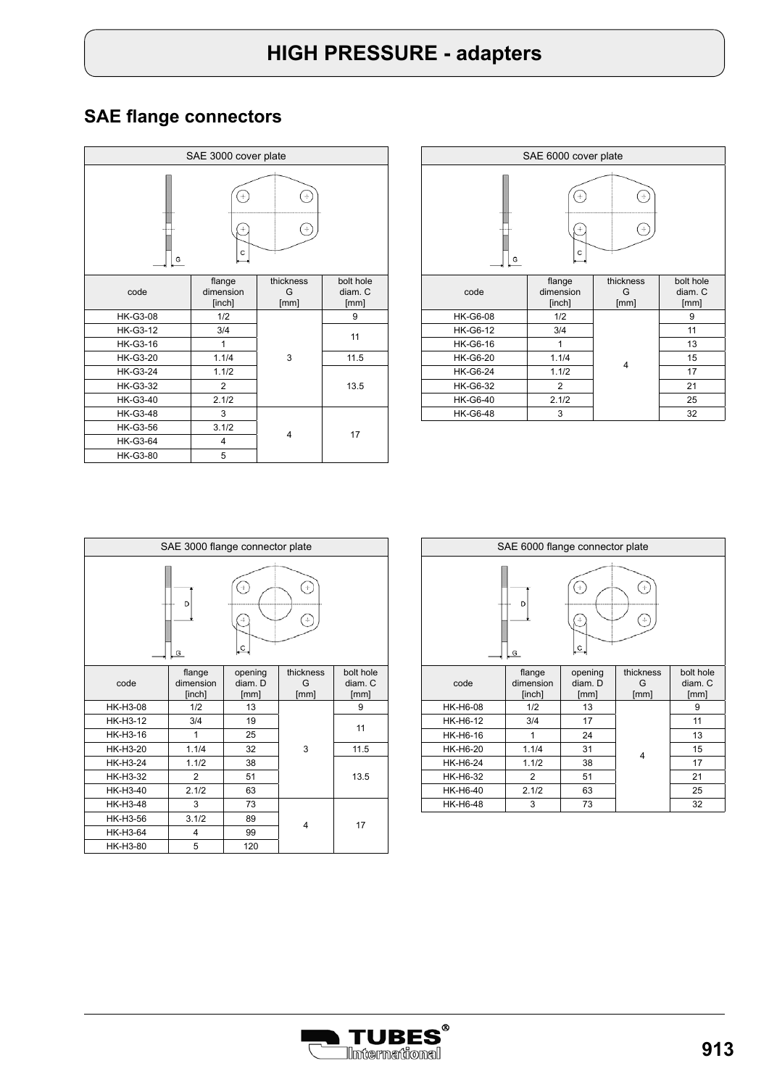| SAE 3000 cover plate |                               |                        |                              |
|----------------------|-------------------------------|------------------------|------------------------------|
| G                    | C                             |                        |                              |
| code                 | flange<br>dimension<br>[inch] | thickness<br>G<br>[mm] | bolt hole<br>diam. C<br>[mm] |
| <b>HK-G3-08</b>      | 1/2                           |                        | 9                            |
| <b>HK-G3-12</b>      | 3/4                           |                        | 11                           |
| <b>HK-G3-16</b>      | 1                             | 3                      |                              |
| <b>HK-G3-20</b>      | 1.1/4                         |                        | 11.5                         |
| <b>HK-G3-24</b>      | 1.1/2                         |                        |                              |
| <b>HK-G3-32</b>      | $\overline{2}$                |                        | 13.5                         |
| <b>HK-G3-40</b>      | 2.1/2                         |                        |                              |
| <b>HK-G3-48</b>      | 3                             |                        |                              |
| <b>HK-G3-56</b>      | 3.1/2                         | 4                      | 17                           |
| <b>HK-G3-64</b>      | 4                             |                        |                              |
| <b>HK-G3-80</b>      | 5                             |                        |                              |

| SAE 6000 cover plate |                               |                        |                              |  |
|----------------------|-------------------------------|------------------------|------------------------------|--|
| G                    | C                             | ÷                      |                              |  |
| code                 | flange<br>dimension<br>[inch] | thickness<br>G<br>[mm] | bolt hole<br>diam. C<br>[mm] |  |
| <b>HK-G6-08</b>      | 1/2                           |                        | 9                            |  |
| <b>HK-G6-12</b>      | 3/4                           |                        | 11                           |  |
| <b>HK-G6-16</b>      | 1                             |                        | 13                           |  |
| <b>HK-G6-20</b>      | 1.1/4                         |                        | 15                           |  |
| <b>HK-G6-24</b>      | 1.1/2                         | 4                      | 17                           |  |
| <b>HK-G6-32</b>      | $\overline{c}$                |                        | 21                           |  |
| <b>HK-G6-40</b>      | 2.1/2                         |                        | 25                           |  |
| <b>HK-G6-48</b>      | 3                             |                        | 32                           |  |

| SAE 3000 flange connector plate |                               |                            |                        |                              |  |
|---------------------------------|-------------------------------|----------------------------|------------------------|------------------------------|--|
| D<br>LC.<br>G                   |                               |                            |                        |                              |  |
| code                            | flange<br>dimension<br>[inch] | opening<br>diam. D<br>[mm] | thickness<br>G<br>[mm] | bolt hole<br>diam. C<br>[mm] |  |
| HK-H3-08                        | 1/2                           | 13                         |                        | 9                            |  |
| HK-H3-12                        | 3/4                           | 19                         |                        | 11                           |  |
| HK-H3-16                        | 1                             | 25                         |                        |                              |  |
| HK-H3-20                        | 1.1/4                         | 32                         | 3                      | 11.5                         |  |
| HK-H3-24                        | 1.1/2                         | 38                         |                        |                              |  |
| HK-H3-32                        | $\overline{2}$                | 51                         |                        | 13.5                         |  |
| HK-H3-40                        | 2.1/2                         | 63                         |                        |                              |  |
| HK-H3-48                        | 3                             | 73                         |                        |                              |  |
| HK-H3-56                        | 3.1/2                         | 89                         | 4                      | 17                           |  |
| HK-H3-64                        | 4                             | 99                         |                        |                              |  |
| HK-H3-80                        | 5                             | 120                        |                        |                              |  |

| SAE 6000 flange connector plate |                               |                            |                        |                              |
|---------------------------------|-------------------------------|----------------------------|------------------------|------------------------------|
|                                 | D<br>G                        | $\circ$                    | ÷<br>÷                 |                              |
| code                            | flange<br>dimension<br>[inch] | opening<br>diam. D<br>[mm] | thickness<br>G<br>[mm] | bolt hole<br>diam. C<br>[mm] |
| <b>HK-H6-08</b>                 | 1/2                           | 13                         |                        | 9                            |
| HK-H6-12                        | 3/4                           | 17                         |                        | 11                           |
| HK-H6-16                        | 1                             | 24                         |                        | 13                           |
| <b>HK-H6-20</b>                 | 1.1/4                         | 31                         | 4                      | 15                           |
| <b>HK-H6-24</b>                 | 1.1/2                         | 38                         |                        | 17                           |
| HK-H6-32                        | $\overline{2}$                | 51                         |                        | 21                           |
| HK-H6-40                        | 2.1/2                         | 63                         |                        | 25                           |
| <b>HK-H6-48</b>                 | 3                             | 73                         |                        | 32                           |